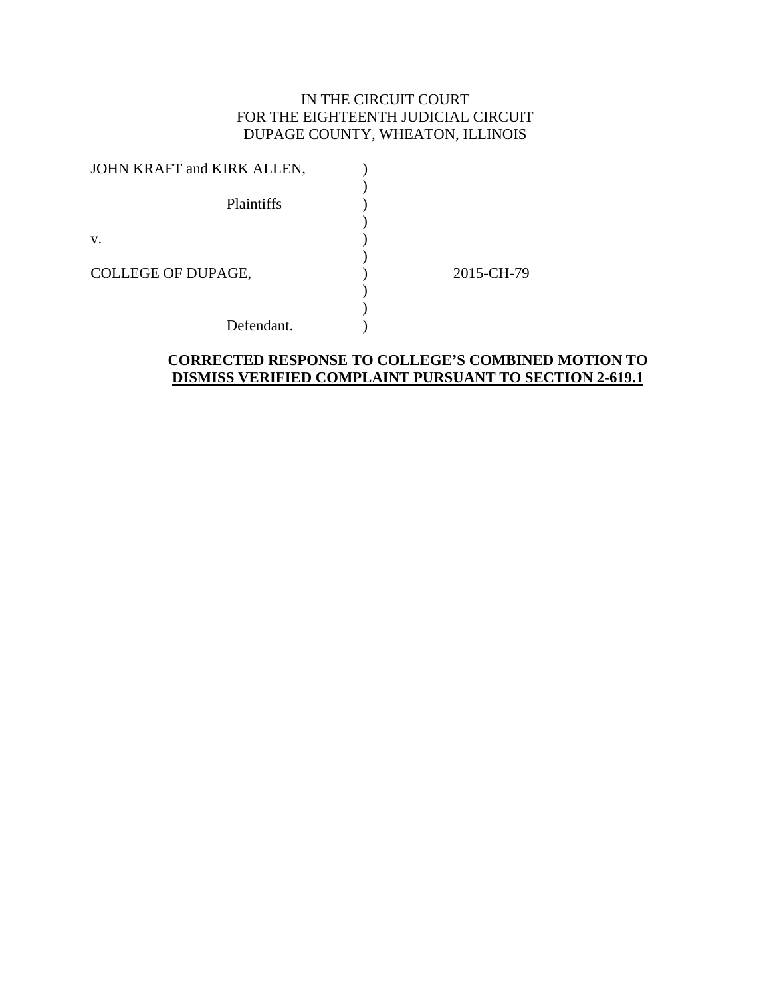# IN THE CIRCUIT COURT FOR THE EIGHTEENTH JUDICIAL CIRCUIT DUPAGE COUNTY, WHEATON, ILLINOIS

| JOHN KRAFT and KIRK ALLEN, |            |
|----------------------------|------------|
| Plaintiffs                 |            |
| V.                         |            |
| COLLEGE OF DUPAGE,         | 2015-CH-79 |
| Defendant.                 |            |

## **CORRECTED RESPONSE TO COLLEGE'S COMBINED MOTION TO DISMISS VERIFIED COMPLAINT PURSUANT TO SECTION 2-619.1**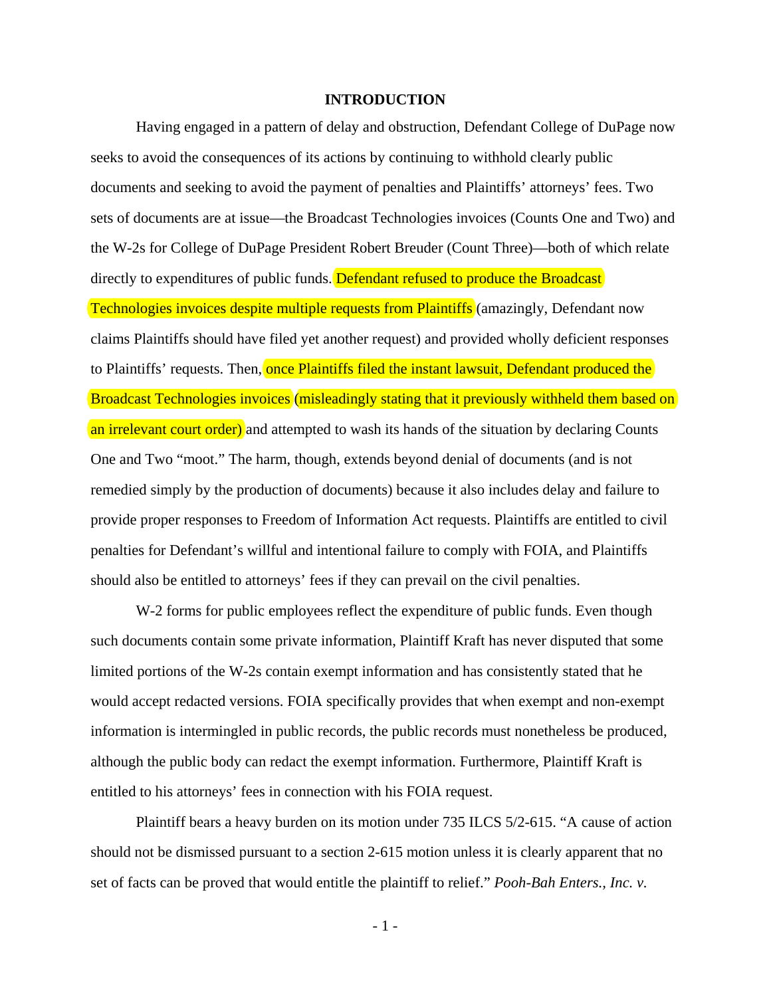#### **INTRODUCTION**

Having engaged in a pattern of delay and obstruction, Defendant College of DuPage now seeks to avoid the consequences of its actions by continuing to withhold clearly public documents and seeking to avoid the payment of penalties and Plaintiffs' attorneys' fees. Two sets of documents are at issue—the Broadcast Technologies invoices (Counts One and Two) and the W-2s for College of DuPage President Robert Breuder (Count Three)—both of which relate directly to expenditures of public funds. **Defendant refused to produce the Broadcast** Technologies invoices despite multiple requests from Plaintiffs (amazingly, Defendant now claims Plaintiffs should have filed yet another request) and provided wholly deficient responses to Plaintiffs' requests. Then, once Plaintiffs filed the instant lawsuit, Defendant produced the Broadcast Technologies invoices (misleadingly stating that it previously withheld them based on an irrelevant court order) and attempted to wash its hands of the situation by declaring Counts One and Two "moot." The harm, though, extends beyond denial of documents (and is not remedied simply by the production of documents) because it also includes delay and failure to provide proper responses to Freedom of Information Act requests. Plaintiffs are entitled to civil penalties for Defendant's willful and intentional failure to comply with FOIA, and Plaintiffs should also be entitled to attorneys' fees if they can prevail on the civil penalties.

W-2 forms for public employees reflect the expenditure of public funds. Even though such documents contain some private information, Plaintiff Kraft has never disputed that some limited portions of the W-2s contain exempt information and has consistently stated that he would accept redacted versions. FOIA specifically provides that when exempt and non-exempt information is intermingled in public records, the public records must nonetheless be produced, although the public body can redact the exempt information. Furthermore, Plaintiff Kraft is entitled to his attorneys' fees in connection with his FOIA request.

Plaintiff bears a heavy burden on its motion under 735 ILCS 5/2-615. "A cause of action should not be dismissed pursuant to a section 2-615 motion unless it is clearly apparent that no set of facts can be proved that would entitle the plaintiff to relief." *Pooh-Bah Enters., Inc. v.* 

- 1 -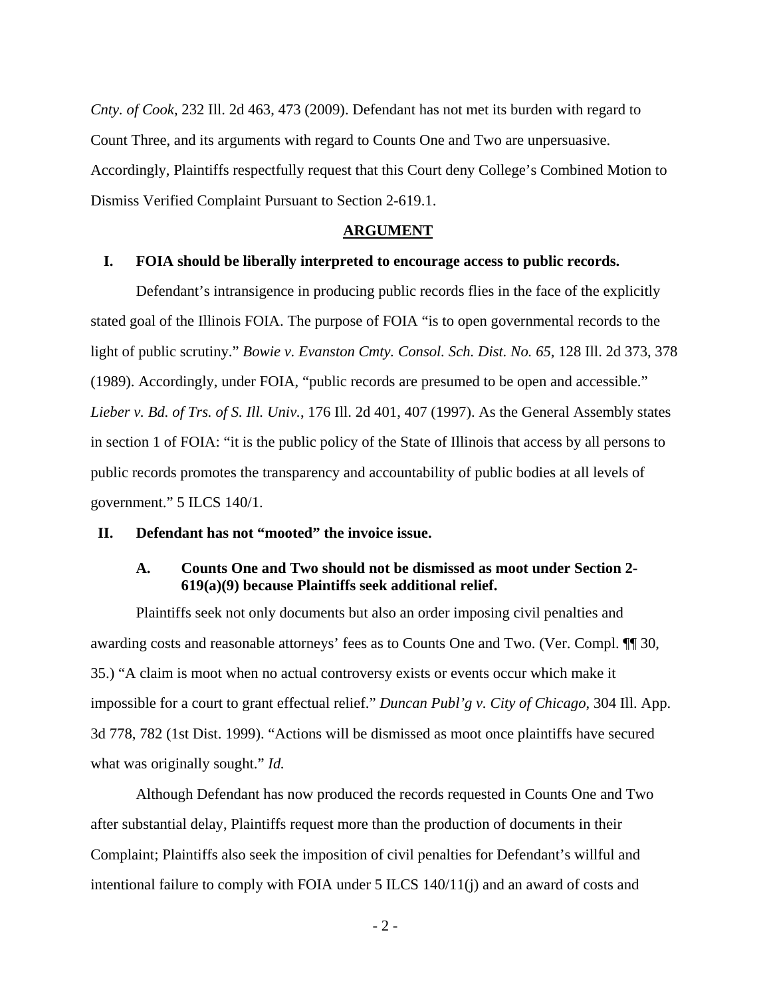*Cnty. of Cook*, 232 Ill. 2d 463, 473 (2009). Defendant has not met its burden with regard to Count Three, and its arguments with regard to Counts One and Two are unpersuasive. Accordingly, Plaintiffs respectfully request that this Court deny College's Combined Motion to Dismiss Verified Complaint Pursuant to Section 2-619.1.

#### **ARGUMENT**

#### **I. FOIA should be liberally interpreted to encourage access to public records.**

Defendant's intransigence in producing public records flies in the face of the explicitly stated goal of the Illinois FOIA. The purpose of FOIA "is to open governmental records to the light of public scrutiny." *Bowie v. Evanston Cmty. Consol. Sch. Dist. No. 65*, 128 Ill. 2d 373, 378 (1989). Accordingly, under FOIA, "public records are presumed to be open and accessible." *Lieber v. Bd. of Trs. of S. Ill. Univ.*, 176 Ill. 2d 401, 407 (1997). As the General Assembly states in section 1 of FOIA: "it is the public policy of the State of Illinois that access by all persons to public records promotes the transparency and accountability of public bodies at all levels of government." 5 ILCS 140/1.

### **II. Defendant has not "mooted" the invoice issue.**

### **A. Counts One and Two should not be dismissed as moot under Section 2- 619(a)(9) because Plaintiffs seek additional relief.**

Plaintiffs seek not only documents but also an order imposing civil penalties and awarding costs and reasonable attorneys' fees as to Counts One and Two. (Ver. Compl. ¶¶ 30, 35.) "A claim is moot when no actual controversy exists or events occur which make it impossible for a court to grant effectual relief." *Duncan Publ'g v. City of Chicago*, 304 Ill. App. 3d 778, 782 (1st Dist. 1999). "Actions will be dismissed as moot once plaintiffs have secured what was originally sought." *Id.*

 Although Defendant has now produced the records requested in Counts One and Two after substantial delay, Plaintiffs request more than the production of documents in their Complaint; Plaintiffs also seek the imposition of civil penalties for Defendant's willful and intentional failure to comply with FOIA under 5 ILCS 140/11(j) and an award of costs and

- 2 -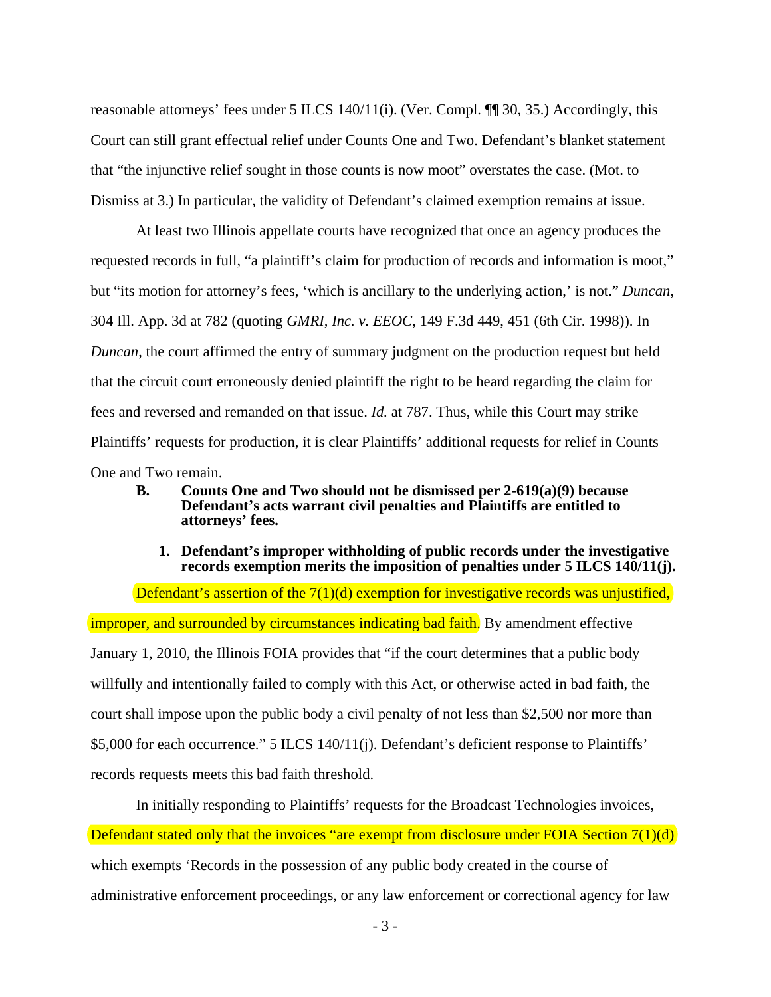reasonable attorneys' fees under 5 ILCS 140/11(i). (Ver. Compl. ¶¶ 30, 35.) Accordingly, this Court can still grant effectual relief under Counts One and Two. Defendant's blanket statement that "the injunctive relief sought in those counts is now moot" overstates the case. (Mot. to Dismiss at 3.) In particular, the validity of Defendant's claimed exemption remains at issue.

At least two Illinois appellate courts have recognized that once an agency produces the requested records in full, "a plaintiff's claim for production of records and information is moot," but "its motion for attorney's fees, 'which is ancillary to the underlying action,' is not." *Duncan*, 304 Ill. App. 3d at 782 (quoting *GMRI, Inc. v. EEOC*, 149 F.3d 449, 451 (6th Cir. 1998)). In *Duncan*, the court affirmed the entry of summary judgment on the production request but held that the circuit court erroneously denied plaintiff the right to be heard regarding the claim for fees and reversed and remanded on that issue. *Id.* at 787. Thus, while this Court may strike Plaintiffs' requests for production, it is clear Plaintiffs' additional requests for relief in Counts One and Two remain.

- **B. Counts One and Two should not be dismissed per 2-619(a)(9) because Defendant's acts warrant civil penalties and Plaintiffs are entitled to attorneys' fees.** 
	- **1. Defendant's improper withholding of public records under the investigative**  records exemption merits the imposition of penalties under 5 ILCS 140/11(j).

Defendant's assertion of the 7(1)(d) exemption for investigative records was unjustified, improper, and surrounded by circumstances indicating bad faith. By amendment effective January 1, 2010, the Illinois FOIA provides that "if the court determines that a public body willfully and intentionally failed to comply with this Act, or otherwise acted in bad faith, the court shall impose upon the public body a civil penalty of not less than \$2,500 nor more than \$5,000 for each occurrence." 5 ILCS 140/11(j). Defendant's deficient response to Plaintiffs' records requests meets this bad faith threshold.

In initially responding to Plaintiffs' requests for the Broadcast Technologies invoices, Defendant stated only that the invoices "are exempt from disclosure under FOIA Section 7(1)(d) which exempts 'Records in the possession of any public body created in the course of administrative enforcement proceedings, or any law enforcement or correctional agency for law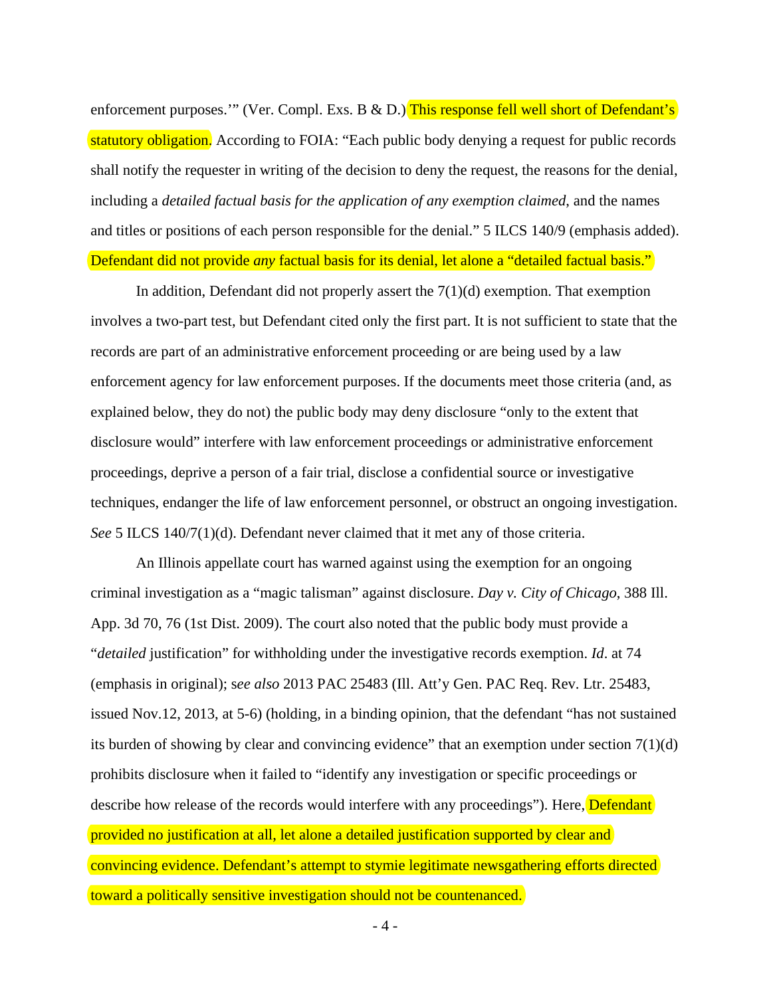enforcement purposes.'" (Ver. Compl. Exs. B & D.) This response fell well short of Defendant's statutory obligation. According to FOIA: "Each public body denying a request for public records shall notify the requester in writing of the decision to deny the request, the reasons for the denial, including a *detailed factual basis for the application of any exemption claimed*, and the names and titles or positions of each person responsible for the denial." 5 ILCS 140/9 (emphasis added). Defendant did not provide *any* factual basis for its denial, let alone a "detailed factual basis."

In addition, Defendant did not properly assert the  $7(1)(d)$  exemption. That exemption involves a two-part test, but Defendant cited only the first part. It is not sufficient to state that the records are part of an administrative enforcement proceeding or are being used by a law enforcement agency for law enforcement purposes. If the documents meet those criteria (and, as explained below, they do not) the public body may deny disclosure "only to the extent that disclosure would" interfere with law enforcement proceedings or administrative enforcement proceedings, deprive a person of a fair trial, disclose a confidential source or investigative techniques, endanger the life of law enforcement personnel, or obstruct an ongoing investigation. *See* 5 ILCS 140/7(1)(d). Defendant never claimed that it met any of those criteria.

An Illinois appellate court has warned against using the exemption for an ongoing criminal investigation as a "magic talisman" against disclosure. *Day v. City of Chicago*, 388 Ill. App. 3d 70, 76 (1st Dist. 2009). The court also noted that the public body must provide a "*detailed* justification" for withholding under the investigative records exemption. *Id*. at 74 (emphasis in original); s*ee also* 2013 PAC 25483 (Ill. Att'y Gen. PAC Req. Rev. Ltr. 25483, issued Nov.12, 2013, at 5-6) (holding, in a binding opinion, that the defendant "has not sustained its burden of showing by clear and convincing evidence" that an exemption under section  $7(1)(d)$ prohibits disclosure when it failed to "identify any investigation or specific proceedings or describe how release of the records would interfere with any proceedings"). Here, **Defendant** provided no justification at all, let alone a detailed justification supported by clear and convincing evidence. Defendant's attempt to stymie legitimate newsgathering efforts directed toward a politically sensitive investigation should not be countenanced.

- 4 -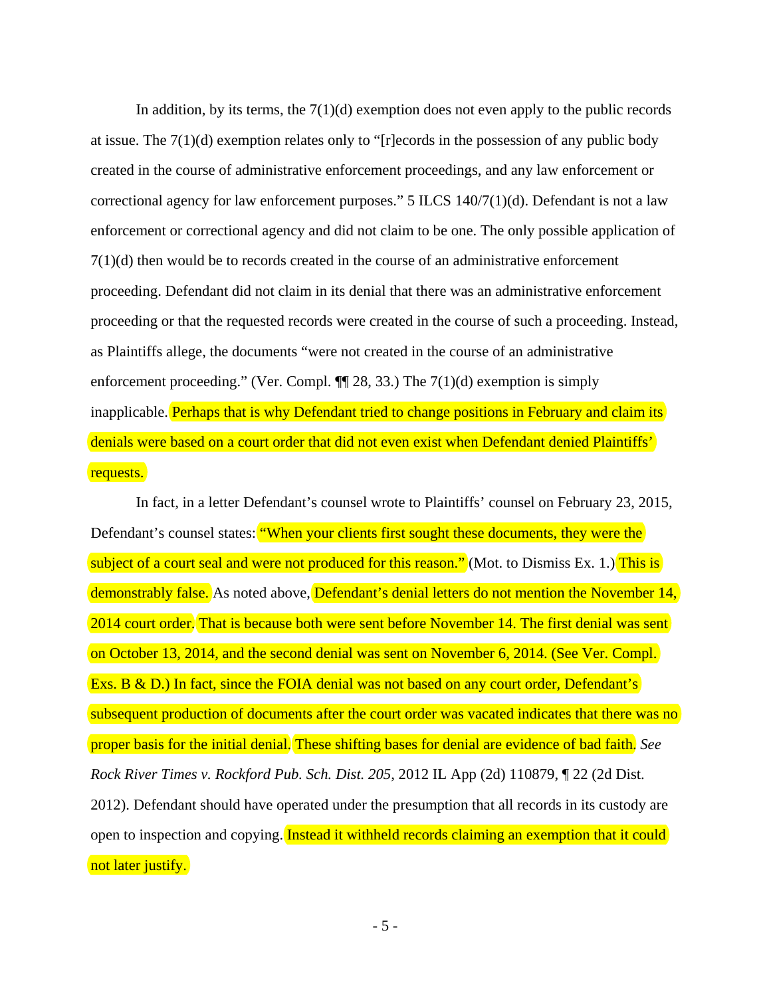In addition, by its terms, the  $7(1)(d)$  exemption does not even apply to the public records at issue. The  $7(1)(d)$  exemption relates only to "[r]ecords in the possession of any public body created in the course of administrative enforcement proceedings, and any law enforcement or correctional agency for law enforcement purposes." 5 ILCS 140/7(1)(d). Defendant is not a law enforcement or correctional agency and did not claim to be one. The only possible application of 7(1)(d) then would be to records created in the course of an administrative enforcement proceeding. Defendant did not claim in its denial that there was an administrative enforcement proceeding or that the requested records were created in the course of such a proceeding. Instead, as Plaintiffs allege, the documents "were not created in the course of an administrative enforcement proceeding." (Ver. Compl.  $\P$  28, 33.) The 7(1)(d) exemption is simply inapplicable. Perhaps that is why Defendant tried to change positions in February and claim its denials were based on a court order that did not even exist when Defendant denied Plaintiffs' requests.

In fact, in a letter Defendant's counsel wrote to Plaintiffs' counsel on February 23, 2015, Defendant's counsel states: "When your clients first sought these documents, they were the subject of a court seal and were not produced for this reason." (Mot. to Dismiss Ex. 1.) This is demonstrably false. As noted above, Defendant's denial letters do not mention the November 14, 2014 court order. That is because both were sent before November 14. The first denial was sent on October 13, 2014, and the second denial was sent on November 6, 2014. (See Ver. Compl. Exs. B & D.) In fact, since the FOIA denial was not based on any court order, Defendant's subsequent production of documents after the court order was vacated indicates that there was no proper basis for the initial denial. These shifting bases for denial are evidence of bad faith. *See Rock River Times v. Rockford Pub. Sch. Dist. 205*, 2012 IL App (2d) 110879, ¶ 22 (2d Dist. 2012). Defendant should have operated under the presumption that all records in its custody are open to inspection and copying. Instead it withheld records claiming an exemption that it could not later justify.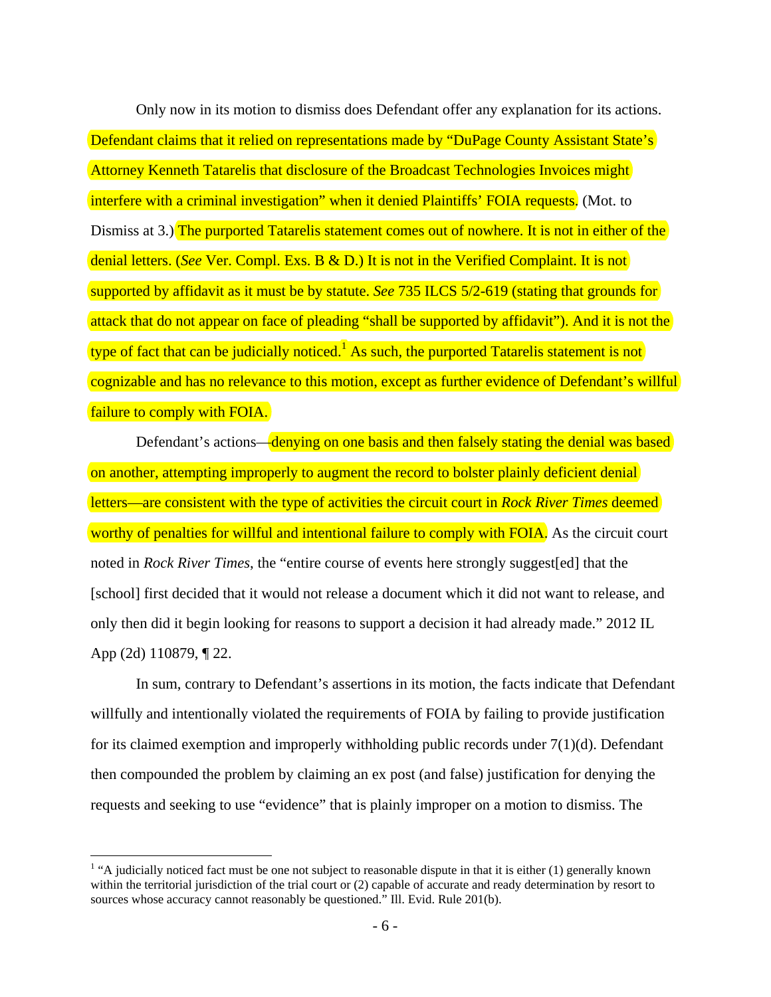Only now in its motion to dismiss does Defendant offer any explanation for its actions. Defendant claims that it relied on representations made by "DuPage County Assistant State's Attorney Kenneth Tatarelis that disclosure of the Broadcast Technologies Invoices might interfere with a criminal investigation" when it denied Plaintiffs' FOIA requests. (Mot. to Dismiss at 3.) The purported Tatarelis statement comes out of nowhere. It is not in either of the denial letters. (*See* Ver. Compl. Exs. B & D.) It is not in the Verified Complaint. It is not supported by affidavit as it must be by statute. *See* 735 ILCS 5/2-619 (stating that grounds for attack that do not appear on face of pleading "shall be supported by affidavit"). And it is not the type of fact that can be judicially noticed.<sup>1</sup> As such, the purported Tatarelis statement is not cognizable and has no relevance to this motion, except as further evidence of Defendant's willful failure to comply with FOIA.

Defendant's actions—denying on one basis and then falsely stating the denial was based on another, attempting improperly to augment the record to bolster plainly deficient denial letters—are consistent with the type of activities the circuit court in *Rock River Times* deemed worthy of penalties for willful and intentional failure to comply with FOIA. As the circuit court noted in *Rock River Times*, the "entire course of events here strongly suggest[ed] that the [school] first decided that it would not release a document which it did not want to release, and only then did it begin looking for reasons to support a decision it had already made." 2012 IL App (2d) 110879, ¶ 22.

In sum, contrary to Defendant's assertions in its motion, the facts indicate that Defendant willfully and intentionally violated the requirements of FOIA by failing to provide justification for its claimed exemption and improperly withholding public records under 7(1)(d). Defendant then compounded the problem by claiming an ex post (and false) justification for denying the requests and seeking to use "evidence" that is plainly improper on a motion to dismiss. The

 $\overline{a}$ 

 $<sup>1</sup>$  "A judicially noticed fact must be one not subject to reasonable dispute in that it is either (1) generally known</sup> within the territorial jurisdiction of the trial court or (2) capable of accurate and ready determination by resort to sources whose accuracy cannot reasonably be questioned." Ill. Evid. Rule 201(b).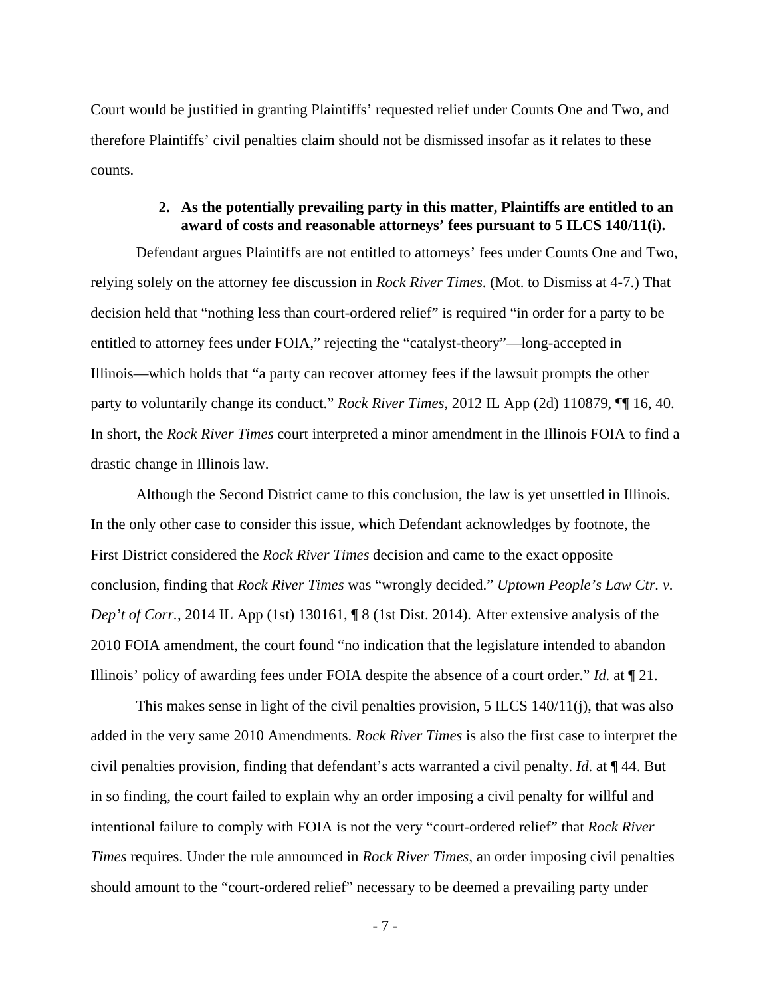Court would be justified in granting Plaintiffs' requested relief under Counts One and Two, and therefore Plaintiffs' civil penalties claim should not be dismissed insofar as it relates to these counts.

## **2. As the potentially prevailing party in this matter, Plaintiffs are entitled to an award of costs and reasonable attorneys' fees pursuant to 5 ILCS 140/11(i).**

Defendant argues Plaintiffs are not entitled to attorneys' fees under Counts One and Two, relying solely on the attorney fee discussion in *Rock River Times*. (Mot. to Dismiss at 4-7.) That decision held that "nothing less than court-ordered relief" is required "in order for a party to be entitled to attorney fees under FOIA," rejecting the "catalyst-theory"—long-accepted in Illinois—which holds that "a party can recover attorney fees if the lawsuit prompts the other party to voluntarily change its conduct." *Rock River Times*, 2012 IL App (2d) 110879, ¶¶ 16, 40. In short, the *Rock River Times* court interpreted a minor amendment in the Illinois FOIA to find a drastic change in Illinois law.

Although the Second District came to this conclusion, the law is yet unsettled in Illinois. In the only other case to consider this issue, which Defendant acknowledges by footnote, the First District considered the *Rock River Times* decision and came to the exact opposite conclusion, finding that *Rock River Times* was "wrongly decided." *Uptown People's Law Ctr. v. Dep't of Corr.*, 2014 IL App (1st) 130161, **[8** (1st Dist. 2014). After extensive analysis of the 2010 FOIA amendment, the court found "no indication that the legislature intended to abandon Illinois' policy of awarding fees under FOIA despite the absence of a court order." *Id.* at ¶ 21.

This makes sense in light of the civil penalties provision, 5 ILCS 140/11(j), that was also added in the very same 2010 Amendments. *Rock River Times* is also the first case to interpret the civil penalties provision, finding that defendant's acts warranted a civil penalty. *Id*. at ¶ 44. But in so finding, the court failed to explain why an order imposing a civil penalty for willful and intentional failure to comply with FOIA is not the very "court-ordered relief" that *Rock River Times* requires. Under the rule announced in *Rock River Times*, an order imposing civil penalties should amount to the "court-ordered relief" necessary to be deemed a prevailing party under

- 7 -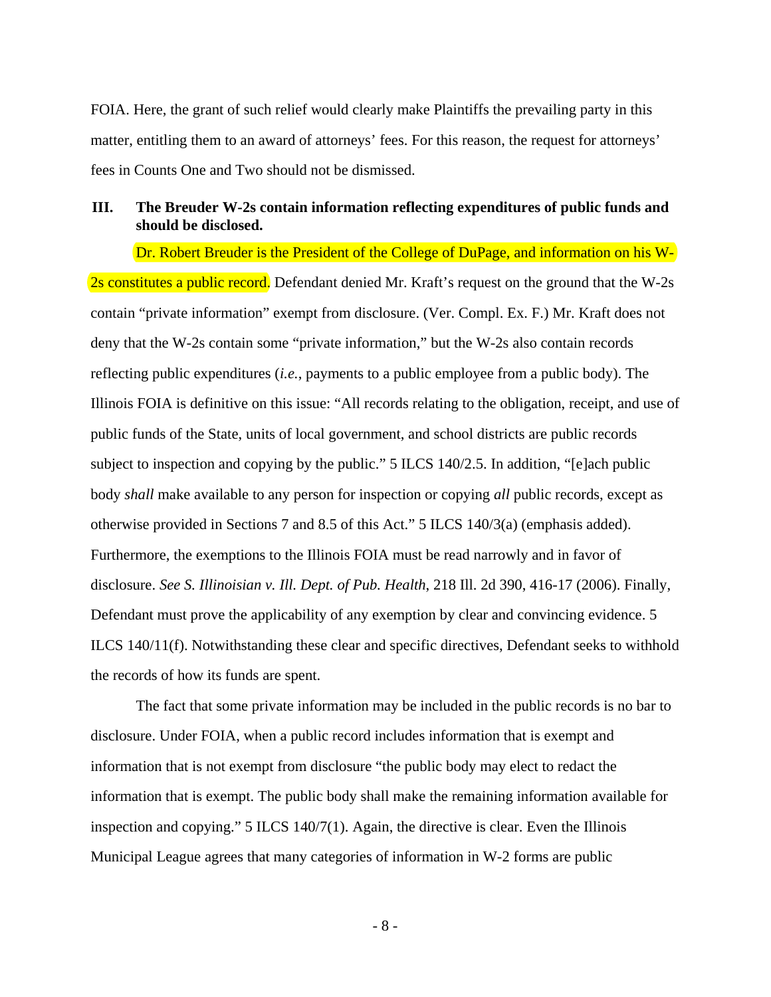FOIA. Here, the grant of such relief would clearly make Plaintiffs the prevailing party in this matter, entitling them to an award of attorneys' fees. For this reason, the request for attorneys' fees in Counts One and Two should not be dismissed.

# **III. The Breuder W-2s contain information reflecting expenditures of public funds and should be disclosed.**

Dr. Robert Breuder is the President of the College of DuPage, and information on his W-2s constitutes a public record. Defendant denied Mr. Kraft's request on the ground that the W-2s contain "private information" exempt from disclosure. (Ver. Compl. Ex. F.) Mr. Kraft does not deny that the W-2s contain some "private information," but the W-2s also contain records reflecting public expenditures (*i.e.*, payments to a public employee from a public body). The Illinois FOIA is definitive on this issue: "All records relating to the obligation, receipt, and use of public funds of the State, units of local government, and school districts are public records subject to inspection and copying by the public." 5 ILCS 140/2.5. In addition, "[e]ach public body *shall* make available to any person for inspection or copying *all* public records, except as otherwise provided in Sections 7 and 8.5 of this Act." 5 ILCS 140/3(a) (emphasis added). Furthermore, the exemptions to the Illinois FOIA must be read narrowly and in favor of disclosure. *See S. Illinoisian v. Ill. Dept. of Pub. Health*, 218 Ill. 2d 390, 416-17 (2006). Finally, Defendant must prove the applicability of any exemption by clear and convincing evidence. 5 ILCS 140/11(f). Notwithstanding these clear and specific directives, Defendant seeks to withhold the records of how its funds are spent.

The fact that some private information may be included in the public records is no bar to disclosure. Under FOIA, when a public record includes information that is exempt and information that is not exempt from disclosure "the public body may elect to redact the information that is exempt. The public body shall make the remaining information available for inspection and copying." 5 ILCS 140/7(1). Again, the directive is clear. Even the Illinois Municipal League agrees that many categories of information in W-2 forms are public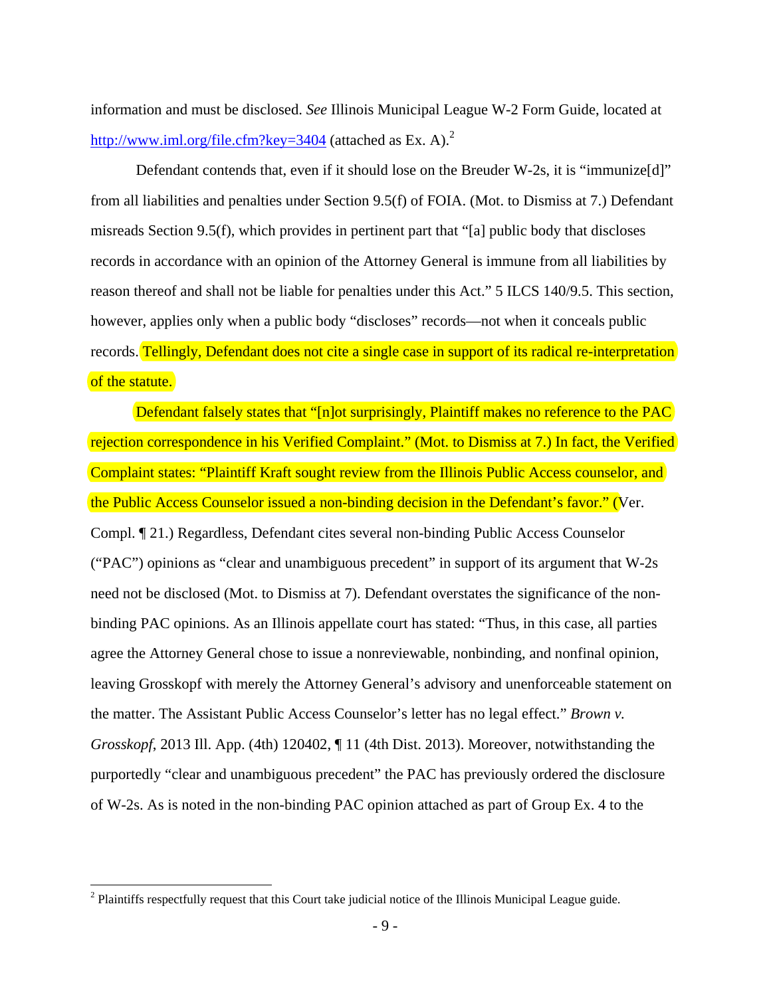information and must be disclosed. *See* Illinois Municipal League W-2 Form Guide, located at http://www.iml.org/file.cfm?key=3404 (attached as Ex. A).<sup>2</sup>

Defendant contends that, even if it should lose on the Breuder W-2s, it is "immunize[d]" from all liabilities and penalties under Section 9.5(f) of FOIA. (Mot. to Dismiss at 7.) Defendant misreads Section 9.5(f), which provides in pertinent part that "[a] public body that discloses records in accordance with an opinion of the Attorney General is immune from all liabilities by reason thereof and shall not be liable for penalties under this Act." 5 ILCS 140/9.5. This section, however, applies only when a public body "discloses" records—not when it conceals public records. Tellingly, Defendant does not cite a single case in support of its radical re-interpretation of the statute.

Defendant falsely states that "[n]ot surprisingly, Plaintiff makes no reference to the PAC rejection correspondence in his Verified Complaint." (Mot. to Dismiss at 7.) In fact, the Verified Complaint states: "Plaintiff Kraft sought review from the Illinois Public Access counselor, and the Public Access Counselor issued a non-binding decision in the Defendant's favor." (Ver. Compl. ¶ 21.) Regardless, Defendant cites several non-binding Public Access Counselor ("PAC") opinions as "clear and unambiguous precedent" in support of its argument that W-2s need not be disclosed (Mot. to Dismiss at 7). Defendant overstates the significance of the nonbinding PAC opinions. As an Illinois appellate court has stated: "Thus, in this case, all parties agree the Attorney General chose to issue a nonreviewable, nonbinding, and nonfinal opinion, leaving Grosskopf with merely the Attorney General's advisory and unenforceable statement on the matter. The Assistant Public Access Counselor's letter has no legal effect." *Brown v. Grosskopf*, 2013 Ill. App. (4th) 120402, ¶ 11 (4th Dist. 2013). Moreover, notwithstanding the purportedly "clear and unambiguous precedent" the PAC has previously ordered the disclosure of W-2s. As is noted in the non-binding PAC opinion attached as part of Group Ex. 4 to the

 $\overline{a}$ 

 $2$  Plaintiffs respectfully request that this Court take judicial notice of the Illinois Municipal League guide.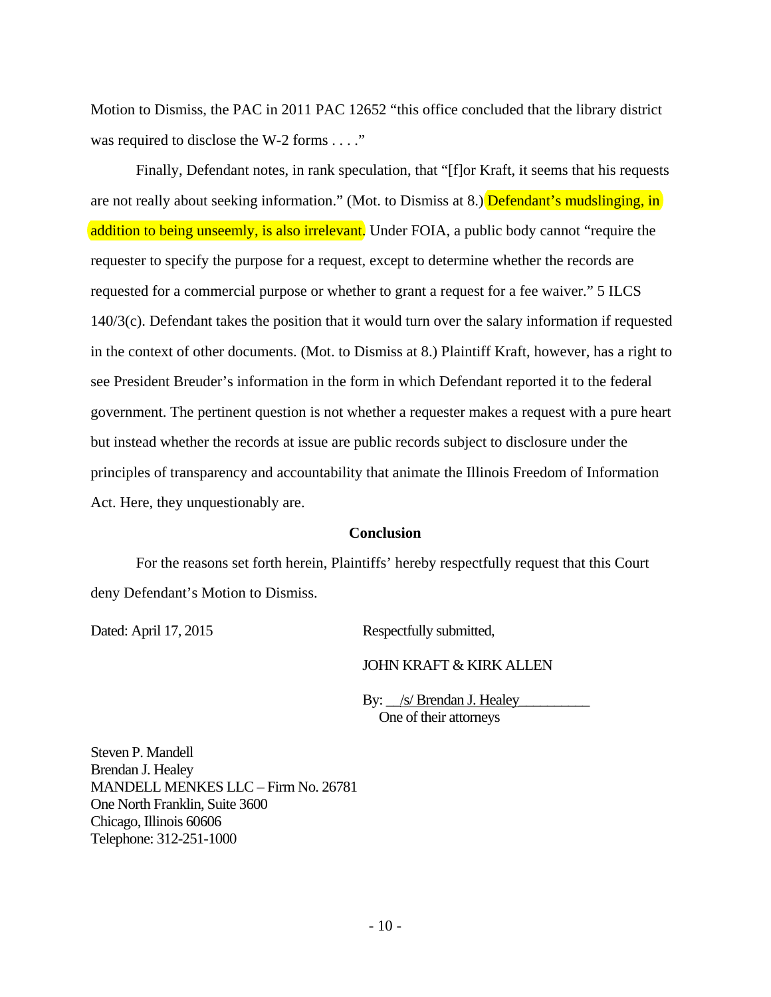Motion to Dismiss, the PAC in 2011 PAC 12652 "this office concluded that the library district was required to disclose the W-2 forms . . . ."

Finally, Defendant notes, in rank speculation, that "[f]or Kraft, it seems that his requests are not really about seeking information." (Mot. to Dismiss at 8.) Defendant's mudslinging, in addition to being unseemly, is also irrelevant. Under FOIA, a public body cannot "require the requester to specify the purpose for a request, except to determine whether the records are requested for a commercial purpose or whether to grant a request for a fee waiver." 5 ILCS 140/3(c). Defendant takes the position that it would turn over the salary information if requested in the context of other documents. (Mot. to Dismiss at 8.) Plaintiff Kraft, however, has a right to see President Breuder's information in the form in which Defendant reported it to the federal government. The pertinent question is not whether a requester makes a request with a pure heart but instead whether the records at issue are public records subject to disclosure under the principles of transparency and accountability that animate the Illinois Freedom of Information Act. Here, they unquestionably are.

### **Conclusion**

For the reasons set forth herein, Plaintiffs' hereby respectfully request that this Court deny Defendant's Motion to Dismiss.

Dated: April 17, 2015 Respectfully submitted,

JOHN KRAFT & KIRK ALLEN

By:  $\angle$ /s/ Brendan J. Healey One of their attorneys

Steven P. Mandell Brendan J. Healey MANDELL MENKES LLC – Firm No. 26781 One North Franklin, Suite 3600 Chicago, Illinois 60606 Telephone: 312-251-1000